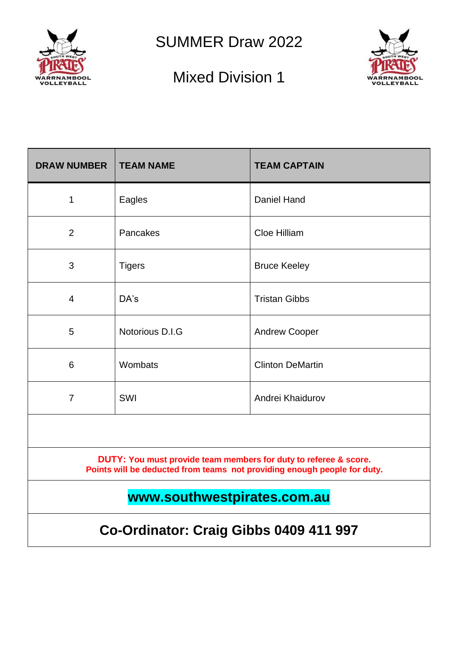

SUMMER Draw 2022

## Mixed Division 1



| <b>DRAW NUMBER</b>                                                                                                                           | <b>TEAM NAME</b> | <b>TEAM CAPTAIN</b>     |  |  |  |  |
|----------------------------------------------------------------------------------------------------------------------------------------------|------------------|-------------------------|--|--|--|--|
| 1                                                                                                                                            | Eagles           | <b>Daniel Hand</b>      |  |  |  |  |
| $\overline{2}$                                                                                                                               | Pancakes         | Cloe Hilliam            |  |  |  |  |
| 3                                                                                                                                            | <b>Tigers</b>    | <b>Bruce Keeley</b>     |  |  |  |  |
| $\overline{4}$                                                                                                                               | DA's             | <b>Tristan Gibbs</b>    |  |  |  |  |
| 5                                                                                                                                            | Notorious D.I.G  | <b>Andrew Cooper</b>    |  |  |  |  |
| 6                                                                                                                                            | Wombats          | <b>Clinton DeMartin</b> |  |  |  |  |
| $\overline{7}$                                                                                                                               | SWI              | Andrei Khaidurov        |  |  |  |  |
|                                                                                                                                              |                  |                         |  |  |  |  |
| DUTY: You must provide team members for duty to referee & score.<br>Points will be deducted from teams not providing enough people for duty. |                  |                         |  |  |  |  |
| www.southwestpirates.com.au                                                                                                                  |                  |                         |  |  |  |  |
| Co-Ordinator: Craig Gibbs 0409 411 997                                                                                                       |                  |                         |  |  |  |  |